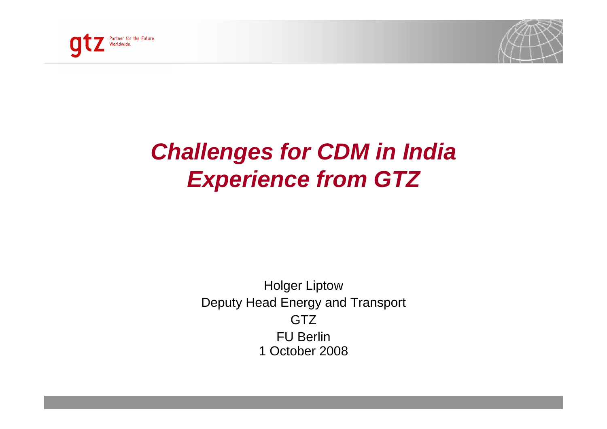



### **Challenges for CDM in IndiaExperience from GTZ**

Holger Liptow Deputy Head Energy and Transport**GTZ**  FU Berlin 1 October 2008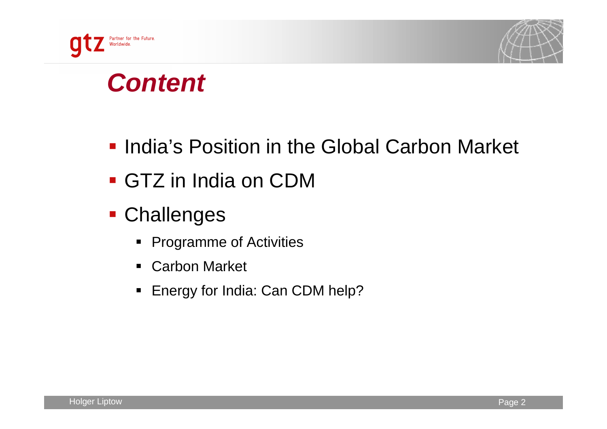



## **Content**

- **India's Position in the Global Carbon Market**
- GTZ in India on CDM
- Challenges
	- Programme of Activities
	- $\blacksquare$ Carbon Market
	- Energy for India: Can CDM help?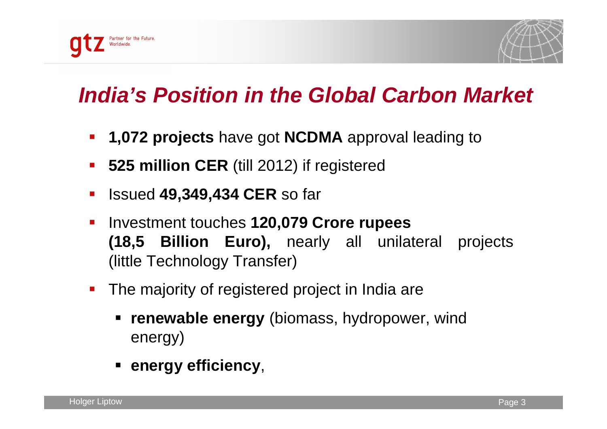



### **India's Position in the Global Carbon Market**

- $\mathcal{L}_{\mathcal{A}}$ **1,072 projects** have got **NCDMA** approval leading to
- $\mathcal{L}_{\mathcal{A}}$ **525 million CER** (till 2012) if registered
- $\mathcal{L}_{\mathcal{A}}$ Issued **49,349,434 CER** so far
- $\mathcal{L}_{\mathcal{A}}$  Investment touches **120,079 Crore rupees (18,5 Billion Euro),** nearly all unilateral projects (little Technology Transfer)
- **The majority of registered project in India are** 
	- **renewable energy** (biomass, hydropower, wind energy)
	- **energy efficiency**,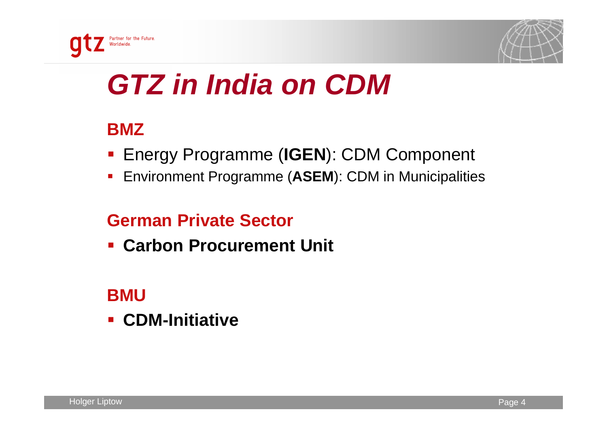



# **GTZ in India on CDM**

#### **BMZ**

- Energy Programme (**IGEN**): CDM Component
- Environment Programme (**ASEM**): CDM in Municipalities

#### **German Private Sector**

**Carbon Procurement Unit**

#### **BMU**

 **CDM-Initiative** $\mathcal{L}_{\mathcal{A}}$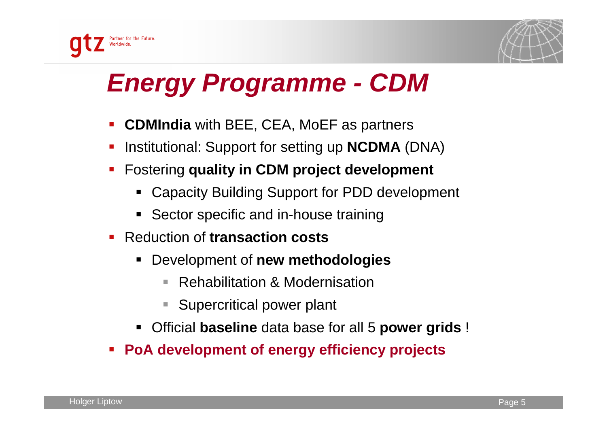



## **Energy Programme - CDM**

- $\mathcal{L}_{\mathcal{A}}$ **CDMIndia** with BEE, CEA, MoEF as partners
- Institutional: Support for setting up **NCDMA** (DNA)
- Fostering **quality in CDM project development**
	- Capacity Building Support for PDD development
	- **Sector specific and in-house training**
- $\blacksquare$  Reduction of **transaction costs**
	- $\blacksquare$  Development of **new methodologies**
		- $\overline{\phantom{a}}$ Rehabilitation & Modernisation
		- $\Box$ Supercritical power plant
	- $\blacksquare$ Official **baseline** data base for all 5 **power grids** !
- $\mathbb{R}^2$ **PoA development of energy efficiency projects**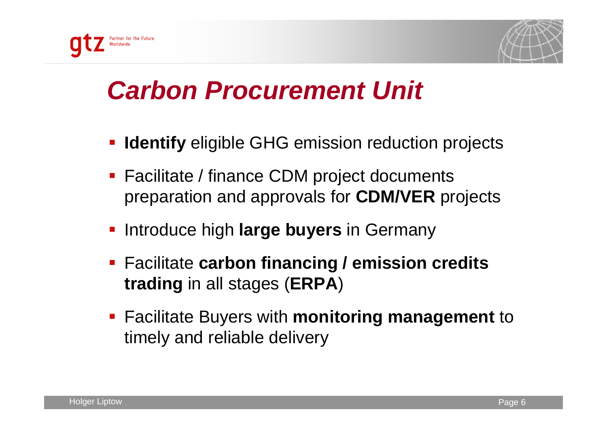



## **Carbon Procurement Unit**

- **Identify** eligible GHG emission reduction projects
- **Facilitate / finance CDM project documents** preparation and approvals for **CDM/VER** projects
- **Example 2 Introduce high large buyers in Germany**
- Facilitate **carbon financing / emission credits trading** in all stages (**ERPA**)
- Facilitate Buyers with **monitoring management** to timely and reliable delivery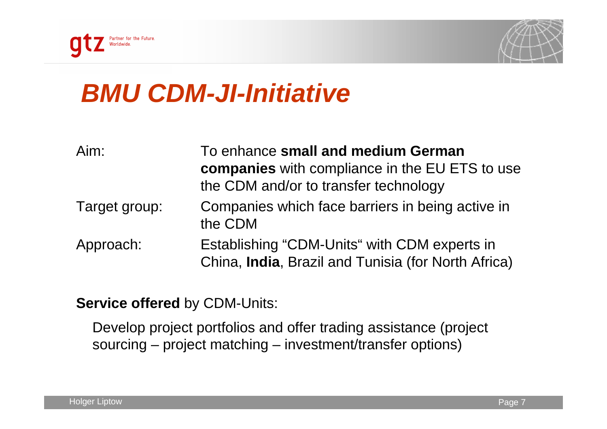



## **BMU CDM-JI-Initiative**

| Aim:          | To enhance small and medium German<br>companies with compliance in the EU ETS to use<br>the CDM and/or to transfer technology |
|---------------|-------------------------------------------------------------------------------------------------------------------------------|
| Target group: | Companies which face barriers in being active in<br>the CDM                                                                   |
| Approach:     | Establishing "CDM-Units" with CDM experts in<br>China, India, Brazil and Tunisia (for North Africa)                           |

**Service offered** by CDM-Units:

Develop project portfolios and offer trading assistance (projectsourcing – project matching – investment/transfer options)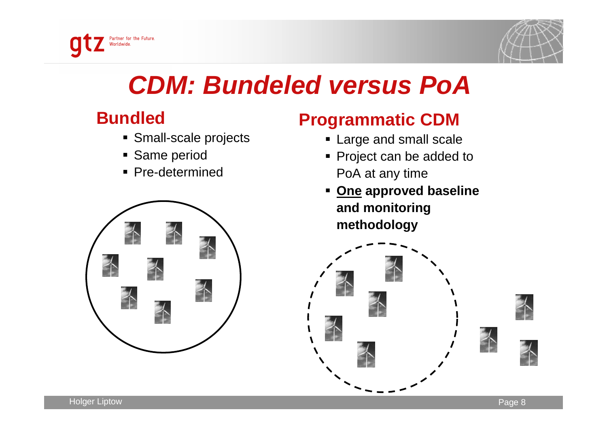



## **CDM: Bundeled versus PoA**

#### **Bundled**

- Small-scale projects
- Same period
- Pre-determined



#### **Programmatic CDM**

- Large and small scale
- Project can be added to PoA at any time
- **One approved baseline and monitoringmethodology**

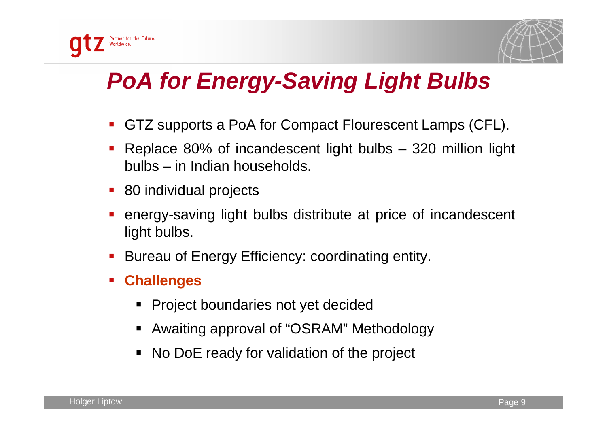

### **PoA for Energy-Saving Light Bulbs**

- $\mathcal{L}_{\mathcal{A}}$ GTZ supports a PoA for Compact Flourescent Lamps (CFL).
- Replace 80% of incandescent light bulbs 320 million light bulbs – in Indian households.
- 80 individual projects
- $\mathcal{L}_{\mathcal{A}}$  energy-saving light bulbs distribute at price of incandescent light bulbs.
- $\mathcal{L}_{\mathcal{A}}$ Bureau of Energy Efficiency: coordinating entity.
- $\mathcal{L}_{\mathcal{A}}$  **Challenges**
	- Project boundaries not yet decided
	- Awaiting approval of "OSRAM" Methodology
	- No DoE ready for validation of the project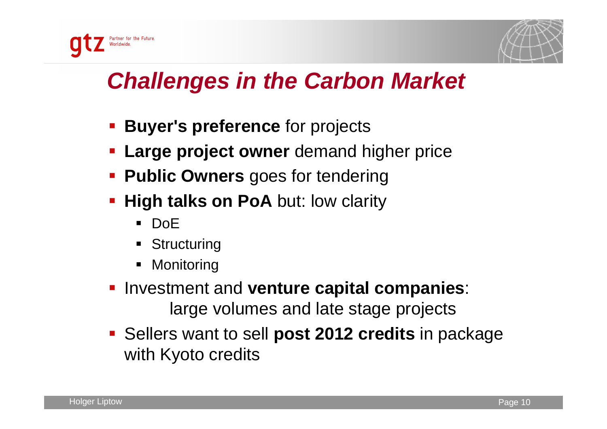

### **Challenges in the Carbon Market**

- **Buyer's preference** for projects
- **Large project owner** demand higher price
- **Public Owners** goes for tendering
- **High talks on PoA** but: low clarity **High talks on PoA** but: low clarity
	- DoE
	- **Structuring**
	- Monitoring
- **Investment and venture capital companies:** large volumes and late stage projects
- Sellers want to sell **post 2012 credits** in package with Kyoto credits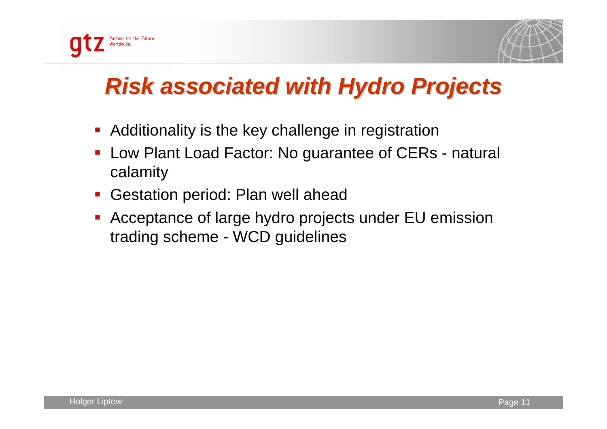



# **Risk associated with Hydro Projects**

- **Additionality is the key challenge in registration**
- $\blacksquare$  Low Plant Load Factor: No guarantee of CERs - natural calamity
- $\mathbb{Z}^{\mathbb{Z}}$ Gestation period: Plan well ahead
- Acceptance of large hydro projects under EU emission trading scheme - WCD guidelines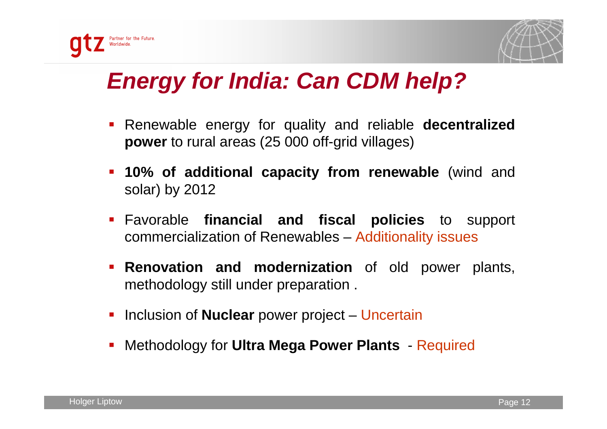



#### **Energy for India: Can CDM help?**

- Renewable energy for quality and reliable **decentralized power** to rural areas (25 000 off-grid villages)
- **10% of additional capacity from renewable** (wind and solar) by 2012
- Favorable **financial and fiscal policies** to support commercialization of Renewables – Additionality issues
- **Renovation and modernization** of old power plants, methodology still under preparation .
- **Inclusion of Nuclear power project Uncertain**
- $\blacksquare$ Methodology for **Ultra Mega Power Plants** - Required